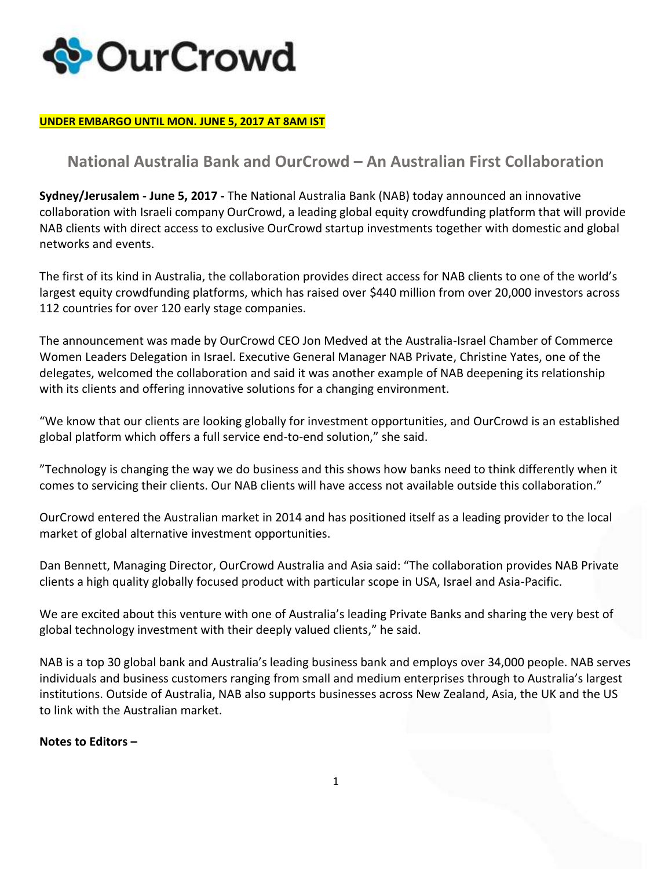

## **UNDER EMBARGO UNTIL MON. JUNE 5, 2017 AT 8AM IST**

## **National Australia Bank and OurCrowd – An Australian First Collaboration**

**Sydney/Jerusalem - June 5, 2017 -** The National Australia Bank (NAB) today announced an innovative collaboration with Israeli company OurCrowd, a leading global equity crowdfunding platform that will provide NAB clients with direct access to exclusive OurCrowd startup investments together with domestic and global networks and events.

The first of its kind in Australia, the collaboration provides direct access for NAB clients to one of the world's largest equity crowdfunding platforms, which has raised over \$440 million from over 20,000 investors across 112 countries for over 120 early stage companies.

The announcement was made by OurCrowd CEO Jon Medved at the Australia-Israel Chamber of Commerce Women Leaders Delegation in Israel. Executive General Manager NAB Private, Christine Yates, one of the delegates, welcomed the collaboration and said it was another example of NAB deepening its relationship with its clients and offering innovative solutions for a changing environment.

"We know that our clients are looking globally for investment opportunities, and OurCrowd is an established global platform which offers a full service end-to-end solution," she said.

"Technology is changing the way we do business and this shows how banks need to think differently when it comes to servicing their clients. Our NAB clients will have access not available outside this collaboration."

OurCrowd entered the Australian market in 2014 and has positioned itself as a leading provider to the local market of global alternative investment opportunities.

Dan Bennett, Managing Director, OurCrowd Australia and Asia said: "The collaboration provides NAB Private clients a high quality globally focused product with particular scope in USA, Israel and Asia-Pacific.

We are excited about this venture with one of Australia's leading Private Banks and sharing the very best of global technology investment with their deeply valued clients," he said.

NAB is a top 30 global bank and Australia's leading business bank and employs over 34,000 people. NAB serves individuals and business customers ranging from small and medium enterprises through to Australia's largest institutions. Outside of Australia, NAB also supports businesses across New Zealand, Asia, the UK and the US to link with the Australian market.

**Notes to Editors –**